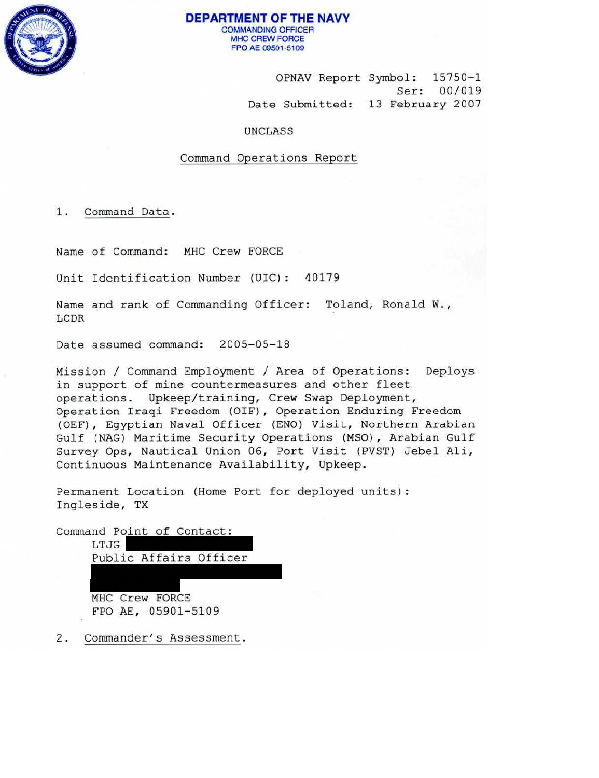

OPNAV Report Symbol: 15750-1 Ser: 00/019 Date Submitted: 13 February 2007

**UNCLASS** 

Command Operations Report

1. Command Data.

Name of Command: MHC Crew FORCE

Unit Identification Number (UIC) : 40179

Name and rank of Commanding Officer: Toland, Ronald W., LCDR

Date assumed command: 2005-05-18

Mission / Command Employment / Area of Operations: Deploys in support of mine countermeasures and other fleet operations. Upkeep/training, Crew Swap Deployment, Operation Iraqi Freedom (OIF) , Operation Enduring Freedom (OEF) , Egyptian Naval Officer (ENO) Visit, Northern Arabian Gulf (NAG) Maritime Security Operations (MSO), Arabian Gulf Survey Ops, Nautical Union 06, Port Visit (PVST) Jebel Ali, Continuous Maintenance Availability, Upkeep .

Permanent Location (Home Port for deployed units): Ingl eside, TX

Command Point of Contact : LTJG Public Affairs Officer MHC Crew FORCE FPO AE, 05901-5109

2. Commander's Assessment.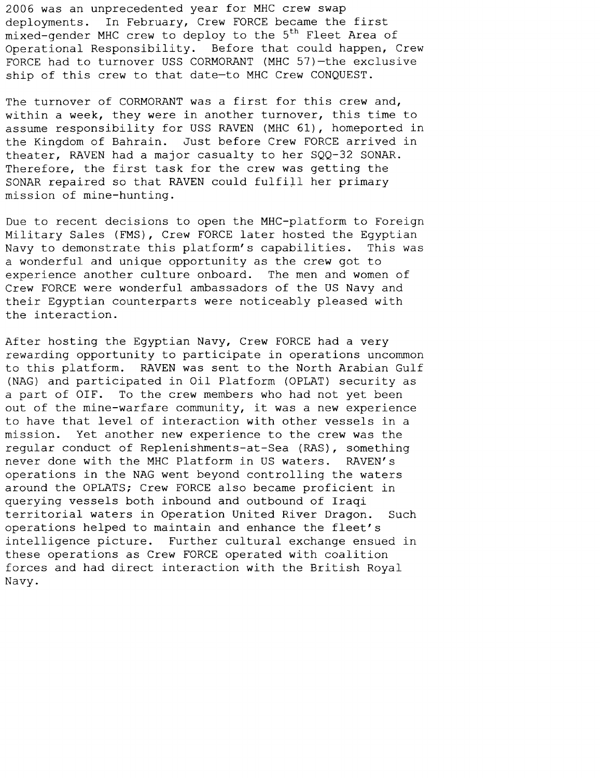2006 was an unprecedented year for MHC crew swap deployments. In February, Crew FORCE became the first mixed-gender MHC crew to deploy to the 5<sup>th</sup> Fleet Area of Operational Responsibility. Before that could happen, Crew FORCE had to turnover USS CORMORANT (MHC 57)-the exclusive ship of this crew to that date-to MHC Crew CONQUEST.

The turnover of CORMORANT was a first for this crew and, within a week, they were in another turnover, this time to assume responsibility for USS RAVEN (MHC 61), homeported in the Kingdom of Bahrain. Just before Crew FORCE arrived in theater, RAVEN had a major casualty to her SQQ-32 SONAR. Therefore, the first task for the crew was getting the SONAR repaired so that RAVEN could fulfill her primary mission of mine-hunting.

Due to recent decisions to open the MHC-platform to Foreign Military Sales (FMS), Crew FORCE later hosted the Egyptian Navy to demonstrate this platform's capabilities. This was a wonderful and unique opportunity as the crew got to experience another culture onboard. The men and women of Crew FORCE were wonderful ambassadors of the US Navy and their Egyptian counterparts were noticeably pleased with the interaction.

After hosting the Egyptian Navy, Crew FORCE had a very rewarding opportunity to participate in operations uncommon<br>to this platform. RAVEN was sent to the North Arabian Gulf RAVEN was sent to the North Arabian Gulf (NAG) and participated in Oil Platform (OPLAT) security as a part of OIF. To the crew members who had not yet been out of the mine-warfare community, it was a new experience to have that level of interaction with other vessels in a mission. Yet another new experience to the crew was the regular conduct of Replenishments-at-Sea (RAS), something never done with the MHC Platform in US waters. RAVEN's operations in the NAG went beyond controlling the waters around the OPLATS; Crew FORCE also became proficient in querying vessels both inbound and outbound of Iraqi territorial waters in Operation United River Dragon. Such operations helped to maintain and enhance the fleet's intelligence picture. Further cultural exchange ensued in these operations as Crew FORCE operated with coalition forces and had direct interaction with the British Royal Navy.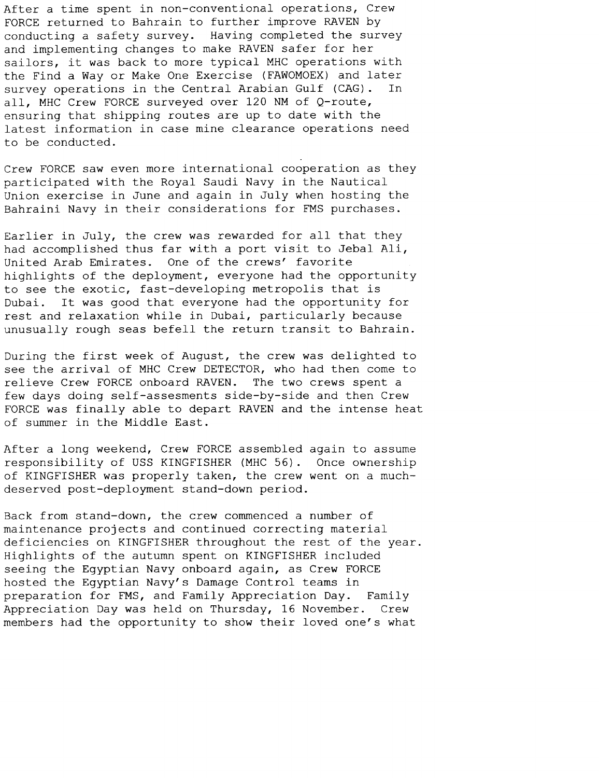After a time spent in non-conventional operations, Crew FORCE returned to Bahrain to further improve RAVEN by conducting a safety survey. Having completed the survey and implementing changes to make RAVEN safer for her sailors, it was back to more typical MHC operations with the Find a Way or Make One Exercise (FAWOMOEX) and later survey operations in the Central Arabian Gulf (CAG). In all, MHC Crew FORCE surveyed over 120 NM of Q-route, ensuring that shipping routes are up to date with the latest information in case mine clearance operations need to be conducted.

Crew FORCE saw even more international cooperation as they participated with the Royal Saudi Navy in the Nautical Union exercise in June and again in July when hosting the Bahraini Navy in their considerations for FMS purchases.

Earlier in July, the crew was rewarded for all that they had accomplished thus far with a port visit to Jebal Ali, United Arab Emirates. One of the crews' favorite highlights of the deployment, everyone had the opportunity to see the exotic, fast-developing metropolis that is Dubai. It was good that everyone had the opportunity for rest and relaxation while in Dubai, particularly because unusually rough seas befell the return transit to Bahrain.

During the first week of August, the crew was delighted to see the arrival of MHC Crew DETECTOR, who had then come to relieve Crew FORCE onboard RAVEN. The two crews spent a few days doing self-assesments side-by-side and then Crew FORCE was finally able to depart RAVEN and the intense heat of summer in the Middle East.

After a long weekend, Crew FORCE assembled again to assume responsibility of USS KINGFISHER (MHC 56). Once ownership of KINGFISHER was properly taken, the crew went on a muchdeserved post-deployment stand-down period.

Back from stand-down, the crew commenced a number of maintenance projects and continued correcting material deficiencies on KINGFISHER throughout the rest of the year. Highlights of the autumn spent on KINGFISHER included seeing the Egyptian Navy onboard again, as Crew FORCE hosted the Egyptian Navy's Damage Control teams in preparation for FMS, and Family Appreciation Day. Family Appreciation Day was held on Thursday, 16 November. Crew members had the opportunity to show their loved one's what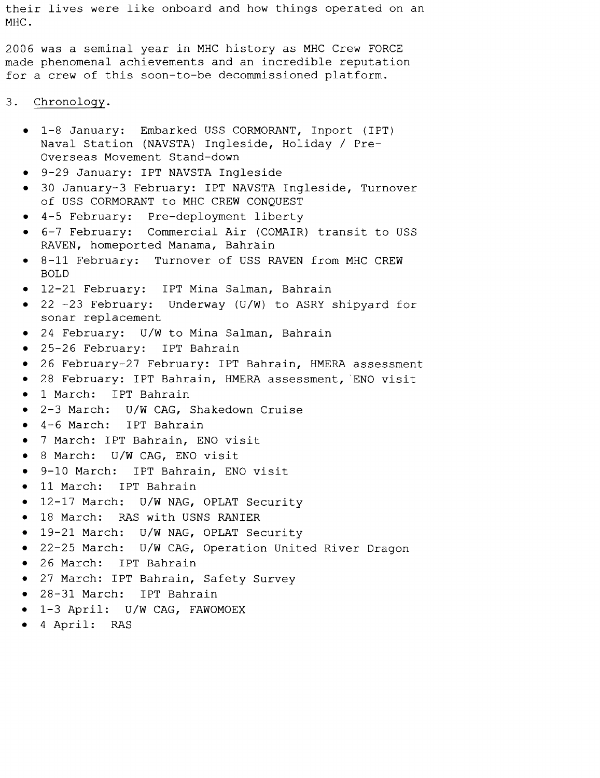their lives were like onboard and how things operated on an MHC.

2006 was a seminal year in MHC history as MHC Crew FORCE made phenomenal achievements and an incredible reputation for a crew of this soon-to-be decommissioned platform.

- 3. Chronology.
	- 1-8 January: Embarked USS CORMORANT, Inport (IPT) Naval Station (NAVSTA) Ingleside, Holiday *I* Pre-Overseas Movement Stand-down
	- 9-29 January: IPT NAVSTA Ingleside
	- 30 January-3 February: IPT NAVSTA Ingleside, Turnover of USS CORMORANT to MHC CREW CONQUEST
	- 4-5 February: Pre-deployment liberty
	- 6-7 February: Commercial Air (COMAIR) transit to USS RAVEN, homeported Manama, Bahrain
	- 8-11 February: Turnover of USS RAVEN from MHC CREW BOLD
	- 12-21 February: IPT Mina Salman, Bahrain
	- 22 -23 February: Underway (U/W) to ASRY shipyard for sonar replacement
	- 24 February: U/W to Mina Salman, Bahrain
	- 25-26 February: IPT Bahrain
	- 26 February-27 February: IPT Bahrain, HMERA assessment
	- 28 February: IPT Bahrain, HMERA assessment, ENO visit
	- 1 March: IPT Bahrain
	- 2-3 March: U/W CAG, Shakedown Cruise
	- 4-6 March: IPT Bahrain
	- 7 March: IPT Bahrain, ENO visit
	- 8 March: U/W CAG, ENO visit
	- 9-10 March: IPT Bahrain, ENO visit
	- 11 March: IPT Bahrain
	- 12-17 March: U/W NAG, OPLAT Security
	- 18 March: RAS with USNS RANIER
	- 19-21 March: U/W NAG, OPLAT Security
	- 22-25 March: U/W CAG, Operation United River Dragon
	- 26 March: IPT Bahrain
	- 27 March: IPT Bahrain, Safety Survey
	- 28-31 March: IPT Bahrain
	- 1-3 April: U/W CAG, FAWOMOEX
	- 4 April: RAS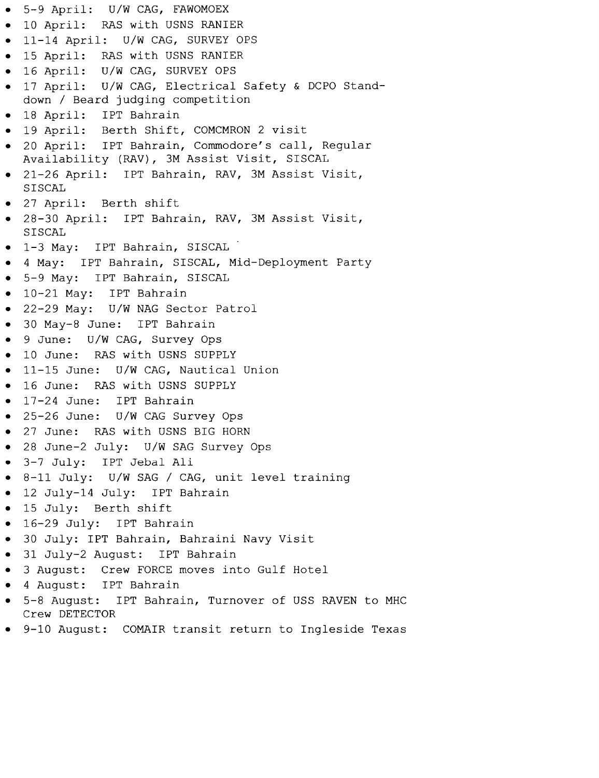• 5-9 April: U/W CAG, FAWOMOEX • 10 April: RAS with USNS RANIER • 11-14 April: U/W CAG, SURVEY OPS • 15 April: RAS with USNS RANIER • 16 April: U/W CAG, SURVEY OPS • 17 April: U/W CAG, Electrical Safety & DCPO Standdown / Beard judging competition 18 April: IPT Bahrain • 19 April: Berth Shift, COMCMRON 2 visit • 20 April: IPT Bahrain, Commodore's call, Regular Availability (RAV), 3M Assist Visit, SISCAL • 21-26 April: IPT Bahrain, RAV, 3M Assist Visit, SISCAL 27 April: Berth shift • 28-30 April: IPT Bahrain, RAV, 3M Assist Visit, SISCAL • 1-3 May: IPT Bahrain, SISCAL • 4 May: IPT Bahrain, SISCAL, Mid-Deployment Party • 5-9 May: IPT Bahrain, SISCAL • 10-21 May: IPT Bahrain • 22-29 May: U/W NAG Sector Patrol • 30 May-8 June: IPT Bahrain • 9 June: U/W CAG, Survey Ops • 10 June: RAS with USNS SUPPLY • 11-15 June: U/W CAG, Nautical Union • 16 June: RAS with USNS SUPPLY • 17-24 June: IPT Bahrain • 25-26 June: U/W CAG Survey Ops • 27 June: RAS with USNS BIG HORN • 28 June-2 July: U/W SAG Survey Ops • 3-7 July: IPT Jebal Ali • 8-11 July: U/W SAG/ CAG, unit level training • 12 July-14 July: IPT Bahrain • 15 July: Berth shift • 16-29 July: IPT Bahrain • 30 July: IPT Bahrain, Bahraini Navy Visit • 31 July-2 August: IPT Bahrain • 3 August: Crew FORCE moves into Gulf Hotel 4 August: IPT Bahrain • 5-8 August: IPT Bahrain, Turnover of USS RAVEN to MHC Crew DETECTOR

• 9-10 August: COMAIR transit return to Ingleside Texas